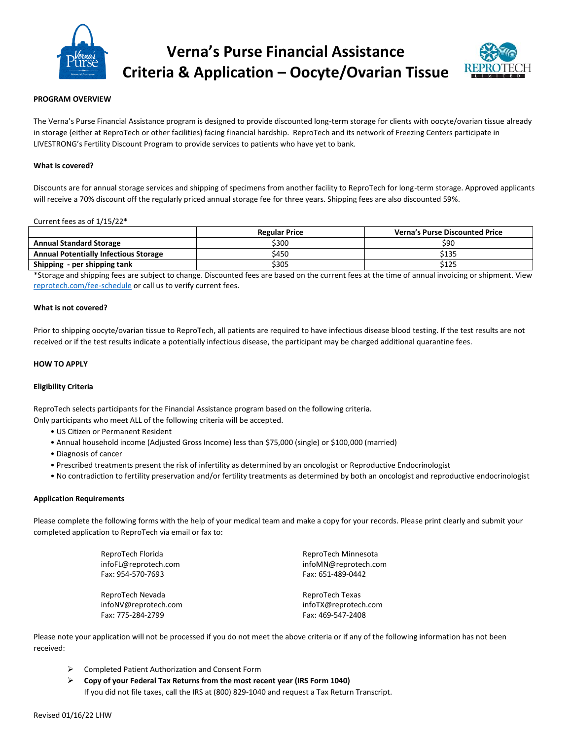

# **Verna's Purse Financial Assistance Criteria & Application – Oocyte/Ovarian Tissue**



#### **PROGRAM OVERVIEW**

The Verna's Purse Financial Assistance program is designed to provide discounted long-term storage for clients with oocyte/ovarian tissue already in storage (either at ReproTech or other facilities) facing financial hardship. ReproTech and its network of Freezing Centers participate in LIVESTRONG's Fertility Discount Program to provide services to patients who have yet to bank.

#### **What is covered?**

Discounts are for annual storage services and shipping of specimens from another facility to ReproTech for long-term storage. Approved applicants will receive a 70% discount off the regularly priced annual storage fee for three years. Shipping fees are also discounted 59%.

#### Current fees as of 1/15/22\*

|                                              | <b>Regular Price</b> | <b>Verna's Purse Discounted Price</b> |
|----------------------------------------------|----------------------|---------------------------------------|
| <b>Annual Standard Storage</b>               | \$300                | \$90                                  |
| <b>Annual Potentially Infectious Storage</b> | \$450                | \$135                                 |
| Shipping - per shipping tank                 | \$305                | \$125                                 |

\*Storage and shipping fees are subject to change. Discounted fees are based on the current fees at the time of annual invoicing or shipment. View [reprotech.com/fee-schedule](https://www.reprotech.com/fee-schedule/) or call us to verify current fees.

#### **What is not covered?**

Prior to shipping oocyte/ovarian tissue to ReproTech, all patients are required to have infectious disease blood testing. If the test results are not received or if the test results indicate a potentially infectious disease, the participant may be charged additional quarantine fees.

#### **HOW TO APPLY**

#### **Eligibility Criteria**

ReproTech selects participants for the Financial Assistance program based on the following criteria.

Only participants who meet ALL of the following criteria will be accepted.

- US Citizen or Permanent Resident
- Annual household income (Adjusted Gross Income) less than \$75,000 (single) or \$100,000 (married)
- Diagnosis of cancer
- Prescribed treatments present the risk of infertility as determined by an oncologist or Reproductive Endocrinologist
- No contradiction to fertility preservation and/or fertility treatments as determined by both an oncologist and reproductive endocrinologist

#### **Application Requirements**

Please complete the following forms with the help of your medical team and make a copy for your records. Please print clearly and submit your completed application to ReproTech via email or fax to:

| ReproTech Florida    | ReproTech Minnesota  |
|----------------------|----------------------|
| infoFL@reprotech.com | infoMN@reprotech.com |
| Fax: 954-570-7693    | Fax: 651-489-0442    |
| ReproTech Nevada     | ReproTech Texas      |
| infoNV@reprotech.com | infoTX@reprotech.com |
| Fax: 775-284-2799    | Fax: 469-547-2408    |

Please note your application will not be processed if you do not meet the above criteria or if any of the following information has not been received:

- ➢ Completed Patient Authorization and Consent Form
- ➢ **Copy of your Federal Tax Returns from the most recent year (IRS Form 1040)**  If you did not file taxes, call the IRS at (800) 829-1040 and request a Tax Return Transcript.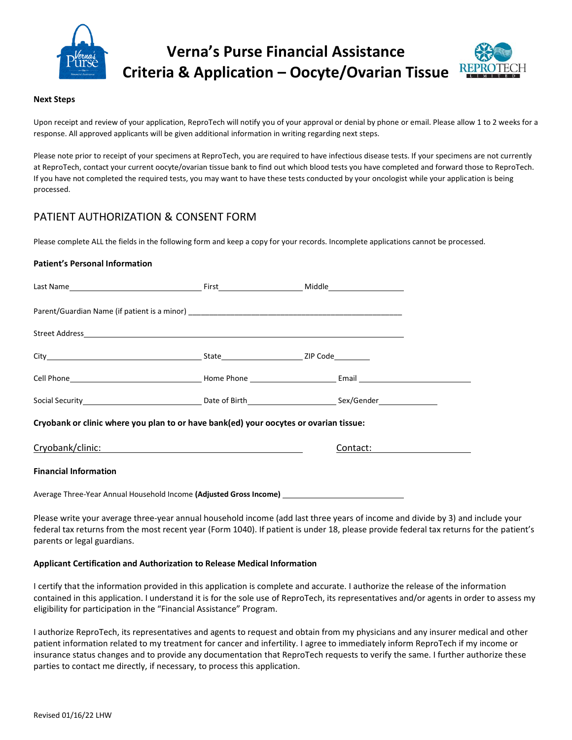

# **Verna's Purse Financial Assistance Criteria & Application – Oocyte/Ovarian Tissue**



#### **Next Steps**

Upon receipt and review of your application, ReproTech will notify you of your approval or denial by phone or email. Please allow 1 to 2 weeks for a response. All approved applicants will be given additional information in writing regarding next steps.

Please note prior to receipt of your specimens at ReproTech, you are required to have infectious disease tests. If your specimens are not currently at ReproTech, contact your current oocyte/ovarian tissue bank to find out which blood tests you have completed and forward those to ReproTech. If you have not completed the required tests, you may want to have these tests conducted by your oncologist while your application is being processed.

# PATIENT AUTHORIZATION & CONSENT FORM

Please complete ALL the fields in the following form and keep a copy for your records. Incomplete applications cannot be processed.

## **Patient's Personal Information**

| Cryobank or clinic where you plan to or have bank(ed) your oocytes or ovarian tissue:                                                             |  |               |  |  |  |
|---------------------------------------------------------------------------------------------------------------------------------------------------|--|---------------|--|--|--|
|                                                                                                                                                   |  | Contact: 2008 |  |  |  |
| <b>Financial Information</b>                                                                                                                      |  |               |  |  |  |
| Average Three-Year Annual Household Income (Adjusted Gross Income) [144] [14] Average Three-Year Annual Household Income (Adjusted Gross Income ] |  |               |  |  |  |

Please write your average three-year annual household income (add last three years of income and divide by 3) and include your federal tax returns from the most recent year (Form 1040). If patient is under 18, please provide federal tax returns for the patient's parents or legal guardians.

## **Applicant Certification and Authorization to Release Medical Information**

I certify that the information provided in this application is complete and accurate. I authorize the release of the information contained in this application. I understand it is for the sole use of ReproTech, its representatives and/or agents in order to assess my eligibility for participation in the "Financial Assistance" Program.

I authorize ReproTech, its representatives and agents to request and obtain from my physicians and any insurer medical and other patient information related to my treatment for cancer and infertility. I agree to immediately inform ReproTech if my income or insurance status changes and to provide any documentation that ReproTech requests to verify the same. I further authorize these parties to contact me directly, if necessary, to process this application.